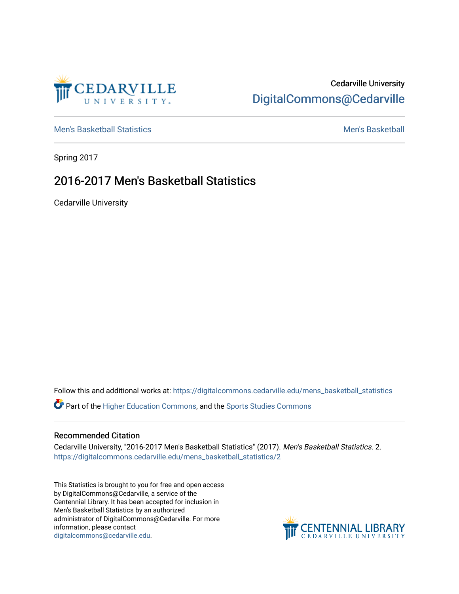

## Cedarville University [DigitalCommons@Cedarville](https://digitalcommons.cedarville.edu/)

[Men's Basketball Statistics](https://digitalcommons.cedarville.edu/mens_basketball_statistics) [Men's Basketball](https://digitalcommons.cedarville.edu/mens_basketball) 

Spring 2017

## 2016-2017 Men's Basketball Statistics

Cedarville University

Follow this and additional works at: [https://digitalcommons.cedarville.edu/mens\\_basketball\\_statistics](https://digitalcommons.cedarville.edu/mens_basketball_statistics?utm_source=digitalcommons.cedarville.edu%2Fmens_basketball_statistics%2F2&utm_medium=PDF&utm_campaign=PDFCoverPages) 

Part of the [Higher Education Commons,](http://network.bepress.com/hgg/discipline/1245?utm_source=digitalcommons.cedarville.edu%2Fmens_basketball_statistics%2F2&utm_medium=PDF&utm_campaign=PDFCoverPages) and the [Sports Studies Commons](http://network.bepress.com/hgg/discipline/1198?utm_source=digitalcommons.cedarville.edu%2Fmens_basketball_statistics%2F2&utm_medium=PDF&utm_campaign=PDFCoverPages) 

## Recommended Citation

Cedarville University, "2016-2017 Men's Basketball Statistics" (2017). Men's Basketball Statistics. 2. [https://digitalcommons.cedarville.edu/mens\\_basketball\\_statistics/2](https://digitalcommons.cedarville.edu/mens_basketball_statistics/2?utm_source=digitalcommons.cedarville.edu%2Fmens_basketball_statistics%2F2&utm_medium=PDF&utm_campaign=PDFCoverPages) 

This Statistics is brought to you for free and open access by DigitalCommons@Cedarville, a service of the Centennial Library. It has been accepted for inclusion in Men's Basketball Statistics by an authorized administrator of DigitalCommons@Cedarville. For more information, please contact [digitalcommons@cedarville.edu](mailto:digitalcommons@cedarville.edu).